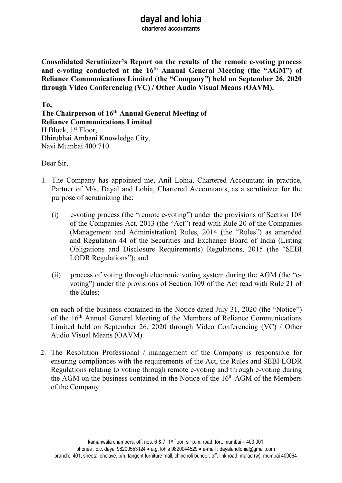# dayal and lohia

chartered accountants

Consolidated Scrutinizer's Report on the results of the remote e-voting process and e-voting conducted at the 16<sup>th</sup> Annual General Meeting (the "AGM") of Reliance Communications Limited (the "Company") held on September 26, 2020 through Video Conferencing (VC) / Other Audio Visual Means (OAVM).

To, The Chairperson of 16<sup>th</sup> Annual General Meeting of Reliance Communications Limited H Block, 1st Floor, Dhirubhai Ambani Knowledge City, Navi Mumbai 400 710.

Dear Sir,

- 1. The Company has appointed me, Anil Lohia, Chartered Accountant in practice, Partner of M/s. Dayal and Lohia, Chartered Accountants, as a scrutinizer for the purpose of scrutinizing the:
	- (i) e-voting process (the "remote e-voting") under the provisions of Section 108 of the Companies Act, 2013 (the "Act") read with Rule 20 of the Companies (Management and Administration) Rules, 2014 (the "Rules") as amended and Regulation 44 of the Securities and Exchange Board of India (Listing Obligations and Disclosure Requirements) Regulations, 2015 (the "SEBI LODR Regulations"); and
	- (ii) process of voting through electronic voting system during the AGM (the "evoting") under the provisions of Section 109 of the Act read with Rule 21 of the Rules;

on each of the business contained in the Notice dated July 31, 2020 (the "Notice") of the 16<sup>th</sup> Annual General Meeting of the Members of Reliance Communications Limited held on September 26, 2020 through Video Conferencing (VC) / Other Audio Visual Means (OAVM).

2. The Resolution Professional / management of the Company is responsible for ensuring compliances with the requirements of the Act, the Rules and SEBI LODR Regulations relating to voting through remote e-voting and through e-voting during the AGM on the business contained in the Notice of the  $16<sup>th</sup>$  AGM of the Members of the Company.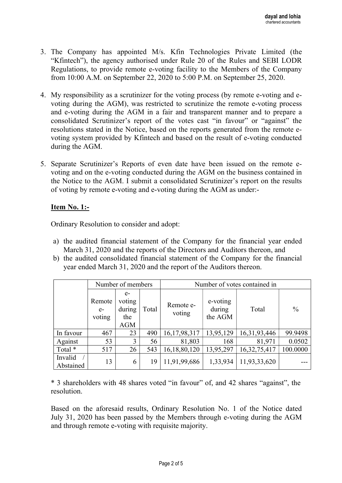- 3. The Company has appointed M/s. Kfin Technologies Private Limited (the "Kfintech"), the agency authorised under Rule 20 of the Rules and SEBI LODR Regulations, to provide remote e-voting facility to the Members of the Company from 10:00 A.M. on September 22, 2020 to 5:00 P.M. on September 25, 2020.
- 4. My responsibility as a scrutinizer for the voting process (by remote e-voting and evoting during the AGM), was restricted to scrutinize the remote e-voting process and e-voting during the AGM in a fair and transparent manner and to prepare a consolidated Scrutinizer's report of the votes cast "in favour" or "against" the resolutions stated in the Notice, based on the reports generated from the remote evoting system provided by Kfintech and based on the result of e-voting conducted during the AGM.
- 5. Separate Scrutinizer's Reports of even date have been issued on the remote evoting and on the e-voting conducted during the AGM on the business contained in the Notice to the AGM. I submit a consolidated Scrutinizer's report on the results of voting by remote e-voting and e-voting during the AGM as under:-

## Item No. 1:-

Ordinary Resolution to consider and adopt:

- a) the audited financial statement of the Company for the financial year ended March 31, 2020 and the reports of the Directors and Auditors thereon, and
- b) the audited consolidated financial statement of the Company for the financial year ended March 31, 2020 and the report of the Auditors thereon.

|                      | Number of members        |                                               |       | Number of votes contained in |                               |                 |               |
|----------------------|--------------------------|-----------------------------------------------|-------|------------------------------|-------------------------------|-----------------|---------------|
|                      | Remote<br>$e-$<br>voting | $e-$<br>voting<br>during<br>the<br><b>AGM</b> | Total | Remote e-<br>voting          | e-voting<br>during<br>the AGM | Total           | $\frac{0}{0}$ |
| In favour            | 467                      | 23                                            | 490   | 16,17,98,317                 | 13,95,129                     | 16, 31, 93, 446 | 99.9498       |
| Against              | 53                       | 3                                             | 56    | 81,803                       | 168                           | 81,971          | 0.0502        |
| Total *              | 517                      | 26                                            | 543   | 16,18,80,120                 | 13,95,297                     | 16, 32, 75, 417 | 100.0000      |
| Invalid<br>Abstained | 13                       | 6                                             | 19    | 11,91,99,686                 | 1,33,934                      | 11,93,33,620    |               |

\* 3 shareholders with 48 shares voted "in favour" of, and 42 shares "against", the resolution.

Based on the aforesaid results, Ordinary Resolution No. 1 of the Notice dated July 31, 2020 has been passed by the Members through e-voting during the AGM and through remote e-voting with requisite majority.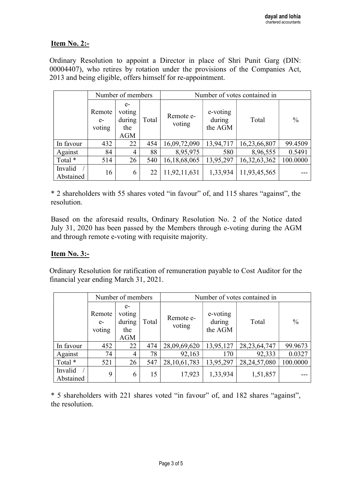## **Item No. 2:-**

Ordinary Resolution to appoint a Director in place of Shri Punit Garg (DIN: 00004407), who retires by rotation under the provisions of the Companies Act, 2013 and being eligible, offers himself for re-appointment.

|                      | Number of members        |                                               |       | Number of votes contained in |                               |              |               |
|----------------------|--------------------------|-----------------------------------------------|-------|------------------------------|-------------------------------|--------------|---------------|
|                      | Remote<br>$e-$<br>voting | $e-$<br>voting<br>during<br>the<br><b>AGM</b> | Total | Remote e-<br>voting          | e-voting<br>during<br>the AGM | Total        | $\frac{0}{0}$ |
| In favour            | 432                      | 22                                            | 454   | 16,09,72,090                 | 13,94,717                     | 16,23,66,807 | 99.4509       |
| Against              | 84                       | 4                                             | 88    | 8,95,975                     | 580                           | 8,96,555     | 0.5491        |
| Total *              | 514                      | 26                                            | 540   | 16,18,68,065                 | 13,95,297                     | 16,32,63,362 | 100.0000      |
| Invalid<br>Abstained | 16                       | 6                                             | 22    | 11,92,11,631                 | 1,33,934                      | 11,93,45,565 |               |

\* 2 shareholders with 55 shares voted "in favour" of, and 115 shares "against", the resolution.

Based on the aforesaid results, Ordinary Resolution No. 2 of the Notice dated July 31, 2020 has been passed by the Members through e-voting during the AGM and through remote e-voting with requisite majority.

#### Item No. 3:-

Ordinary Resolution for ratification of remuneration payable to Cost Auditor for the financial year ending March 31, 2021.

|                      | Number of members        |                                               |       | Number of votes contained in |                               |                 |               |
|----------------------|--------------------------|-----------------------------------------------|-------|------------------------------|-------------------------------|-----------------|---------------|
|                      | Remote<br>$e-$<br>voting | $e-$<br>voting<br>during<br>the<br><b>AGM</b> | Total | Remote e-<br>voting          | e-voting<br>during<br>the AGM | Total           | $\frac{0}{0}$ |
| In favour            | 452                      | 22                                            | 474   | 28,09,69,620                 | 13,95,127                     | 28, 23, 64, 747 | 99.9673       |
| Against              | 74                       | 4                                             | 78    | 92,163                       | 170                           | 92,333          | 0.0327        |
| Total *              | 521                      | 26                                            | 547   | 28, 10, 61, 783              | 13,95,297                     | 28, 24, 57, 080 | 100.0000      |
| Invalid<br>Abstained | 9                        | 6                                             | 15    | 17,923                       | 1,33,934                      | 1,51,857        |               |

\* 5 shareholders with 221 shares voted "in favour" of, and 182 shares "against", the resolution.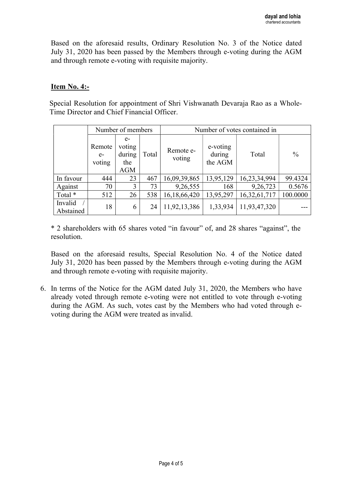Based on the aforesaid results, Ordinary Resolution No. 3 of the Notice dated July 31, 2020 has been passed by the Members through e-voting during the AGM and through remote e-voting with requisite majority.

#### Item No. 4:-

Special Resolution for appointment of Shri Vishwanath Devaraja Rao as a Whole-Time Director and Chief Financial Officer.

|                      | Number of members        |                                               |       | Number of votes contained in |                               |              |               |
|----------------------|--------------------------|-----------------------------------------------|-------|------------------------------|-------------------------------|--------------|---------------|
|                      | Remote<br>$e-$<br>voting | $e-$<br>voting<br>during<br>the<br><b>AGM</b> | Total | Remote e-<br>voting          | e-voting<br>during<br>the AGM | Total        | $\frac{0}{0}$ |
| In favour            | 444                      | 23                                            | 467   | 16,09,39,865                 | 13,95,129                     | 16,23,34,994 | 99.4324       |
| Against              | 70                       | 3                                             | 73    | 9,26,555                     | 168                           | 9,26,723     | 0.5676        |
| Total *              | 512                      | 26                                            | 538   | 16,18,66,420                 | 13,95,297                     | 16,32,61,717 | 100.0000      |
| Invalid<br>Abstained | 18                       | 6                                             | 24    | 11,92,13,386                 | 1,33,934                      | 11,93,47,320 |               |

\* 2 shareholders with 65 shares voted "in favour" of, and 28 shares "against", the resolution.

Based on the aforesaid results, Special Resolution No. 4 of the Notice dated July 31, 2020 has been passed by the Members through e-voting during the AGM and through remote e-voting with requisite majority.

6. In terms of the Notice for the AGM dated July 31, 2020, the Members who have already voted through remote e-voting were not entitled to vote through e-voting during the AGM. As such, votes cast by the Members who had voted through evoting during the AGM were treated as invalid.